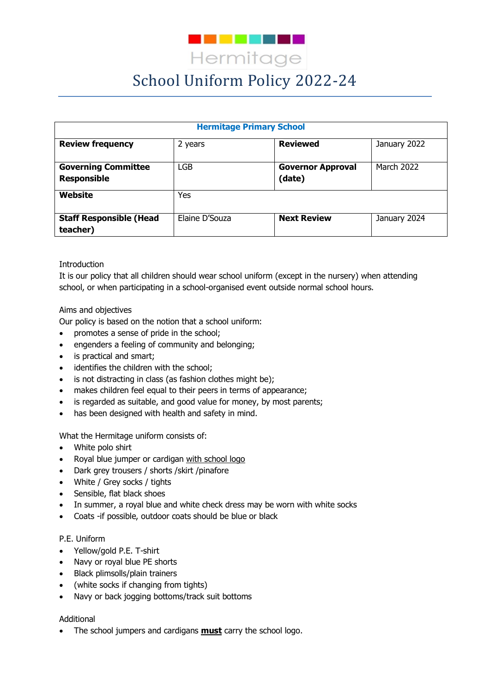

# School Uniform Policy 2022-24

| <b>Hermitage Primary School</b>                  |                |                                    |              |
|--------------------------------------------------|----------------|------------------------------------|--------------|
| <b>Review frequency</b>                          | 2 years        | <b>Reviewed</b>                    | January 2022 |
| <b>Governing Committee</b><br><b>Responsible</b> | <b>LGB</b>     | <b>Governor Approval</b><br>(date) | March 2022   |
| Website                                          | Yes            |                                    |              |
| <b>Staff Responsible (Head</b><br>teacher)       | Elaine D'Souza | <b>Next Review</b>                 | January 2024 |

## Introduction

It is our policy that all children should wear school uniform (except in the nursery) when attending school, or when participating in a school-organised event outside normal school hours.

## Aims and objectives

Our policy is based on the notion that a school uniform:

- promotes a sense of pride in the school;
- engenders a feeling of community and belonging;
- is practical and smart;
- identifies the children with the school:
- is not distracting in class (as fashion clothes might be);
- makes children feel equal to their peers in terms of appearance;
- is regarded as suitable, and good value for money, by most parents;
- has been designed with health and safety in mind.

#### What the Hermitage uniform consists of:

- White polo shirt
- Royal blue jumper or cardigan with school logo
- Dark grey trousers / shorts / skirt / pinafore
- White / Grey socks / tights
- Sensible, flat black shoes
- In summer, a royal blue and white check dress may be worn with white socks
- Coats -if possible, outdoor coats should be blue or black

#### P.E. Uniform

- Yellow/gold P.E. T-shirt
- Navy or royal blue PE shorts
- Black plimsolls/plain trainers
- (white socks if changing from tights)
- Navy or back jogging bottoms/track suit bottoms

#### Additional

The school jumpers and cardigans **must** carry the school logo.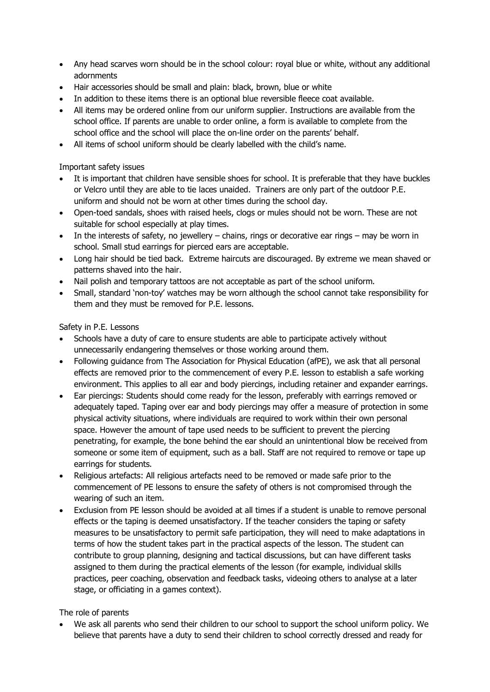- Any head scarves worn should be in the school colour: royal blue or white, without any additional adornments
- Hair accessories should be small and plain: black, brown, blue or white
- In addition to these items there is an optional blue reversible fleece coat available.
- All items may be ordered online from our uniform supplier. Instructions are available from the school office. If parents are unable to order online, a form is available to complete from the school office and the school will place the on-line order on the parents' behalf.
- All items of school uniform should be clearly labelled with the child's name.

## Important safety issues

- It is important that children have sensible shoes for school. It is preferable that they have buckles or Velcro until they are able to tie laces unaided. Trainers are only part of the outdoor P.E. uniform and should not be worn at other times during the school day.
- Open-toed sandals, shoes with raised heels, clogs or mules should not be worn. These are not suitable for school especially at play times.
- In the interests of safety, no jewellery chains, rings or decorative ear rings may be worn in school. Small stud earrings for pierced ears are acceptable.
- Long hair should be tied back. Extreme haircuts are discouraged. By extreme we mean shaved or patterns shaved into the hair.
- Nail polish and temporary tattoos are not acceptable as part of the school uniform.
- Small, standard 'non-toy' watches may be worn although the school cannot take responsibility for them and they must be removed for P.E. lessons.

## Safety in P.E. Lessons

- Schools have a duty of care to ensure students are able to participate actively without unnecessarily endangering themselves or those working around them.
- Following guidance from The Association for Physical Education (afPE), we ask that all personal effects are removed prior to the commencement of every P.E. lesson to establish a safe working environment. This applies to all ear and body piercings, including retainer and expander earrings.
- Ear piercings: Students should come ready for the lesson, preferably with earrings removed or adequately taped. Taping over ear and body piercings may offer a measure of protection in some physical activity situations, where individuals are required to work within their own personal space. However the amount of tape used needs to be sufficient to prevent the piercing penetrating, for example, the bone behind the ear should an unintentional blow be received from someone or some item of equipment, such as a ball. Staff are not required to remove or tape up earrings for students.
- Religious artefacts: All religious artefacts need to be removed or made safe prior to the commencement of PE lessons to ensure the safety of others is not compromised through the wearing of such an item.
- Exclusion from PE lesson should be avoided at all times if a student is unable to remove personal effects or the taping is deemed unsatisfactory. If the teacher considers the taping or safety measures to be unsatisfactory to permit safe participation, they will need to make adaptations in terms of how the student takes part in the practical aspects of the lesson. The student can contribute to group planning, designing and tactical discussions, but can have different tasks assigned to them during the practical elements of the lesson (for example, individual skills practices, peer coaching, observation and feedback tasks, videoing others to analyse at a later stage, or officiating in a games context).

#### The role of parents

 We ask all parents who send their children to our school to support the school uniform policy. We believe that parents have a duty to send their children to school correctly dressed and ready for